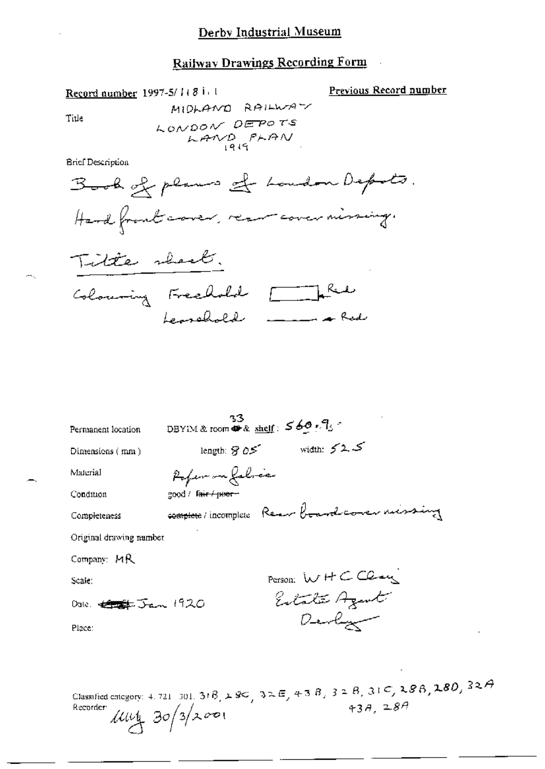**Railway Drawings Recording Form**  $\sim$ 

Previous Record number

Title

÷.

**Brief Description** 

Record number 1997-5/1(8 i) 1

| Permanent location                | -33<br>DBYIM & room $\clubsuit$ & shelf: $560.7$  |
|-----------------------------------|---------------------------------------------------|
| Dimensions $(mn)$                 | ك 2 كسان width:<br>length: $\partial S$ as $\sim$ |
| Material                          | Pofer on falsce                                   |
| Condition                         | good / Fair / poer -                              |
| Completeness                      | complete / incomplete Rear board comer missing    |
| Original drawing number           |                                                   |
| Company: MR                       |                                                   |
| Scale:                            | Person: WHCClary                                  |
| Dale: <del>Conglet</del> Jan 1920 | Estate Agent                                      |
| Place:                            | Devlyn                                            |
|                                   |                                                   |
|                                   |                                                   |

Classified category: 4.721 301. 318,  $\angle$  8C,  $3\angle E$ ,  $4\angle 3B$ ,  $3\angle B$ ,  $31\angle 7$ ,  $\angle 8B$ ,  $\angle 80$ ,  $32\angle 7$ <br>Recorder  $\angle$  20  $\angle$  3  $\angle$  2001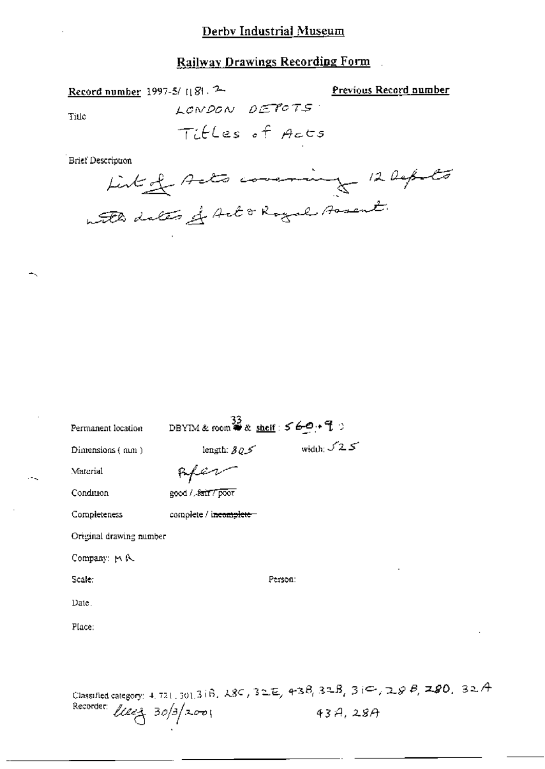## Derby Industrial Museum

## Railway Drawings Recording Form

Record number 1997-5/1181. 2 LONDON DETOTS Title

Previous Record number

 $-1$ 

Titles of Acts

Brief Description



| DBYIM & room $\overset{33}{\bullet}$ & shelf: $569.9$ |                     |  |
|-------------------------------------------------------|---------------------|--|
| length: $305$                                         | width: $\sqrt{2.5}$ |  |
|                                                       |                     |  |
| good / fair / poor                                    |                     |  |
| complete / i <del>ncomplete</del>                     |                     |  |
| Original drawing number                               |                     |  |
|                                                       |                     |  |
|                                                       | Person:             |  |
|                                                       |                     |  |
|                                                       |                     |  |
|                                                       |                     |  |
|                                                       |                     |  |
|                                                       |                     |  |

Classified category: 4, 721, 301, 3(B, 28C, 32E, 43B, 32B, 3(C, 28B, 28O, 32A Recorder: *Uller* 30/3/2001  $43A, 28A$